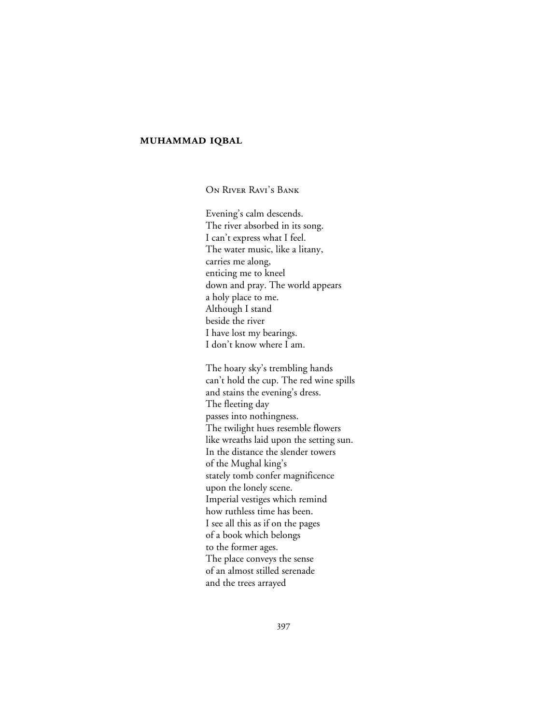## **MUHAMMAD IQBAL**

ON RIVER RAVI'S BANK

Evening's calm descends. The river absorbed in its song. I can't express what I feel. The water music, like a litany, carries me along, enticing me to kneel down and pray. The world appears a holy place to me. Although I stand beside the river I have lost my bearings. I don't know where I am.

The hoary sky's trembling hands can't hold the cup. The red wine spills and stains the evening's dress. The fleeting day passes into nothingness. The twilight hues resemble flowers like wreaths laid upon the setting sun. In the distance the slender towers of the Mughal king's stately tomb confer magnificence upon the lonely scene. Imperial vestiges which remind how ruthless time has been. I see all this as if on the pages of a book which belongs to the former ages. The place conveys the sense of an almost stilled serenade and the trees arrayed